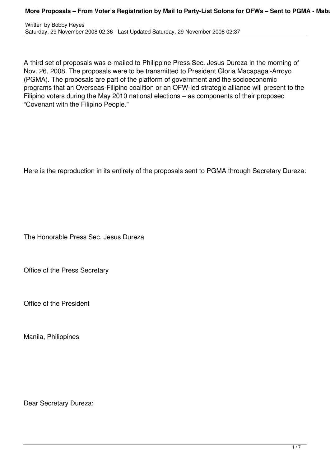Written by Bobby Reyes Saturday, 29 November 2008 02:36 - Last Updated Saturday, 29 November 2008 02:37

A third set of proposals was e-mailed to Philippine Press Sec. Jesus Dureza in the morning of Nov. 26, 2008. The proposals were to be transmitted to President Gloria Macapagal-Arroyo (PGMA). The proposals are part of the platform of government and the socioeconomic programs that an Overseas-Filipino coalition or an OFW-led strategic alliance will present to the Filipino voters during the May 2010 national elections – as components of their proposed "Covenant with the Filipino People."

Here is the reproduction in its entirety of the proposals sent to PGMA through Secretary Dureza:

The Honorable Press Sec. Jesus Dureza

Office of the Press Secretary

Office of the President

Manila, Philippines

Dear Secretary Dureza: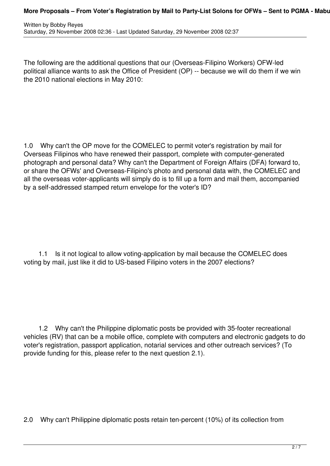## **More Proposals – From Voter's Registration by Mail to Party-List Solons for OFWs – Sent to PGMA - Mabu**

The following are the additional questions that our (Overseas-Filipino Workers) OFW-led political alliance wants to ask the Office of President (OP) -- because we will do them if we win the 2010 national elections in May 2010:

1.0 Why can't the OP move for the COMELEC to permit voter's registration by mail for Overseas Filipinos who have renewed their passport, complete with computer-generated photograph and personal data? Why can't the Department of Foreign Affairs (DFA) forward to, or share the OFWs' and Overseas-Filipino's photo and personal data with, the COMELEC and all the overseas voter-applicants will simply do is to fill up a form and mail them, accompanied by a self-addressed stamped return envelope for the voter's ID?

1.1 Is it not logical to allow voting-application by mail because the COMELEC does voting by mail, just like it did to US-based Filipino voters in the 2007 elections?

 1.2 Why can't the Philippine diplomatic posts be provided with 35-footer recreational vehicles (RV) that can be a mobile office, complete with computers and electronic gadgets to do voter's registration, passport application, notarial services and other outreach services? (To provide funding for this, please refer to the next question 2.1).

2.0 Why can't Philippine diplomatic posts retain ten-percent (10%) of its collection from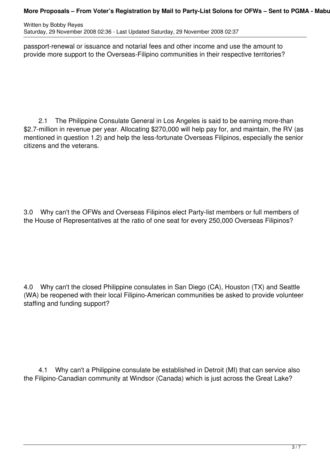Written by Bobby Reyes Saturday, 29 November 2008 02:36 - Last Updated Saturday, 29 November 2008 02:37

passport-renewal or issuance and notarial fees and other income and use the amount to provide more support to the Overseas-Filipino communities in their respective territories?

2.1 The Philippine Consulate General in Los Angeles is said to be earning more-than \$2.7-million in revenue per year. Allocating \$270,000 will help pay for, and maintain, the RV (as mentioned in question 1.2) and help the less-fortunate Overseas Filipinos, especially the senior citizens and the veterans.

3.0 Why can't the OFWs and Overseas Filipinos elect Party-list members or full members of the House of Representatives at the ratio of one seat for every 250,000 Overseas Filipinos?

4.0 Why can't the closed Philippine consulates in San Diego (CA), Houston (TX) and Seattle (WA) be reopened with their local Filipino-American communities be asked to provide volunteer staffing and funding support?

4.1 Why can't a Philippine consulate be established in Detroit (MI) that can service also the Filipino-Canadian community at Windsor (Canada) which is just across the Great Lake?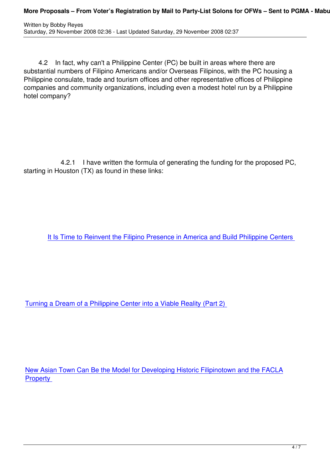4.2 In fact, why can't a Philippine Center (PC) be built in areas where there are substantial numbers of Filipino Americans and/or Overseas Filipinos, with the PC housing a Philippine consulate, trade and tourism offices and other representative offices of Philippine companies and community organizations, including even a modest hotel run by a Philippine hotel company?

4.2.1 I have written the formula of generating the funding for the proposed PC, starting in Houston (TX) as found in these links:

It Is Time to Reinvent the Filipino Presence in America and Build Philippine Centers

Turning a Dream of a Philippine Center into a Viable Reality (Part 2)

New Asian Town Can Be the Model for Developing Historic Filipinotown and the FACLA **Property**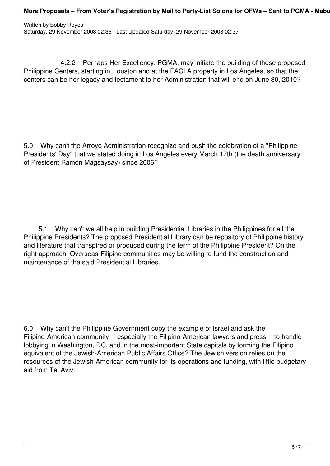4.2.2 Perhaps Her Excellency, PGMA, may initiate the building of these proposed Philippine Centers, starting in Houston and at the FACLA property in Los Angeles, so that the centers can be her legacy and testament to her Administration that will end on June 30, 2010?

5.0 Why can't the Arroyo Administration recognize and push the celebration of a "Philippine Presidents' Day" that we stated doing in Los Angeles every March 17th (the death anniversary of President Ramon Magsaysay) since 2006?

 5.1 Why can't we all help in building Presidential Libraries in the Philippines for all the Philippine Presidents? The proposed Presidential Library can be repository of Philippine history and literature that transpired or produced during the term of the Philippine President? On the right approach, Overseas-Filipino communities may be willing to fund the construction and maintenance of the said Presidential Libraries.

6.0 Why can't the Philippine Government copy the example of Israel and ask the Filipino-American community -- especially the Filipino-American lawyers and press -- to handle lobbying in Washington, DC, and in the most-important State capitals by forming the Filipino equivalent of the Jewish-American Public Affairs Office? The Jewish version relies on the resources of the Jewish-American community for its operations and funding, with little budgetary aid from Tel Aviv.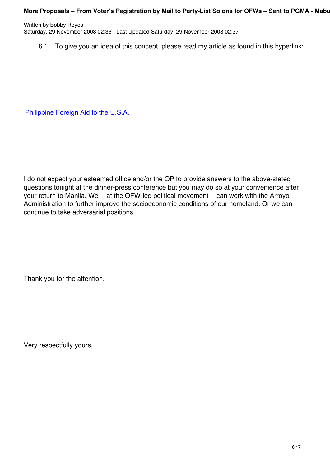6.1 To give you an idea of this concept, please read my article as found in this hyperlink:

Philippine Foreign Aid to the U.S.A.

I do not expect your esteemed office and/or the OP to provide answers to the above-stated questions tonight at the dinner-press conference but you may do so at your convenience after your return to Manila. We -- at the OFW-led political movement -- can work with the Arroyo Administration to further improve the socioeconomic conditions of our homeland. Or we can continue to take adversarial positions.

Thank you for the attention.

Very respectfully yours,